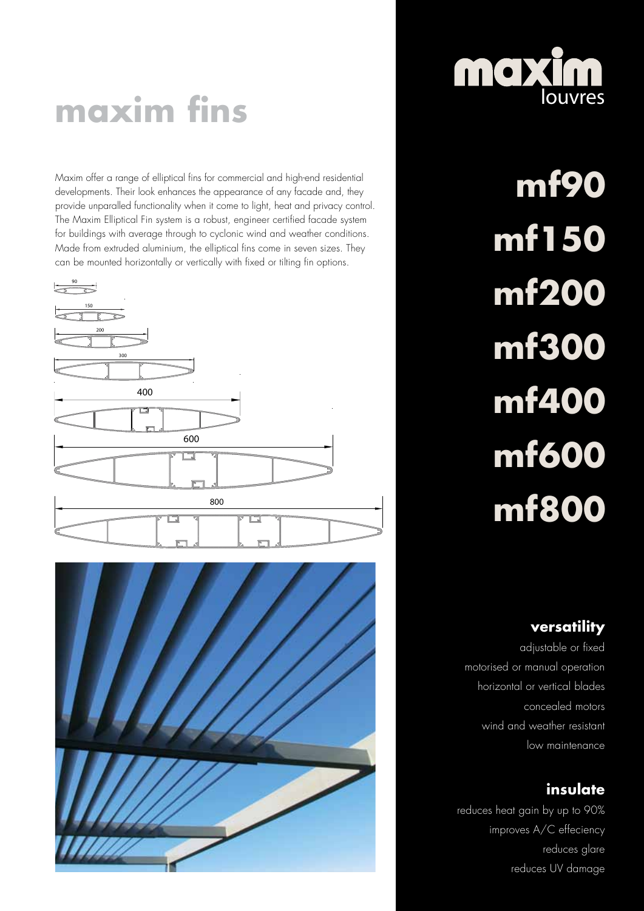# **maxim fins**

Maxim offer a range of elliptical fins for commercial and high-end residential developments. Their look enhances the appearance of any facade and, they provide unparalled functionality when it come to light, heat and privacy control. The Maxim Elliptical Fin system is a robust, engineer certified facade system for buildings with average through to cyclonic wind and weather conditions. Made from extruded aluminium, the elliptical fins come in seven sizes. They can be mounted horizontally or vertically with fixed or tilting fin options.







**mf90 mf150 mf200 mf300 mf400 mf600 mf800**

## **versatility**

adjustable or fixed motorised or manual operation horizontal or vertical blades concealed motors wind and weather resistant low maintenance

## **insulate**

reduces heat gain by up to 90% improves A/C effeciency reduces glare reduces UV damage